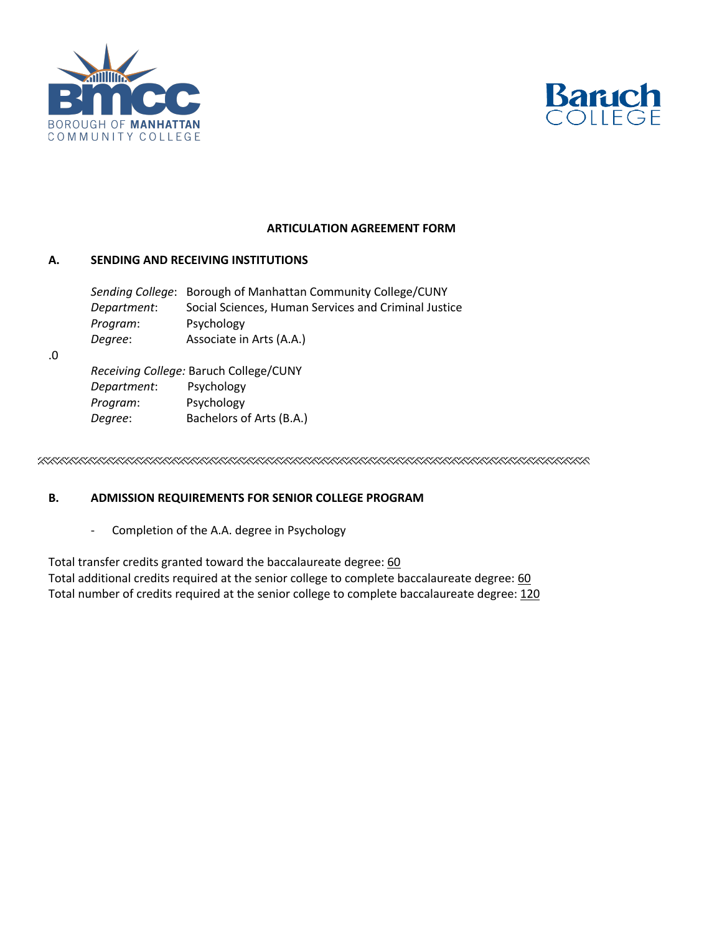



### **ARTICULATION AGREEMENT FORM**

# **A. SENDING AND RECEIVING INSTITUTIONS**

|             | Sending College: Borough of Manhattan Community College/CUNY |
|-------------|--------------------------------------------------------------|
| Department: | Social Sciences, Human Services and Criminal Justice         |
| Program:    | Psychology                                                   |
| Degree:     | Associate in Arts (A.A.)                                     |

.0

*Receiving College:* Baruch College/CUNY *Department*: Psychology *Program*: Psychology *Degree*: Bachelors of Arts (B.A.)

### **B. ADMISSION REQUIREMENTS FOR SENIOR COLLEGE PROGRAM**

- Completion of the A.A. degree in Psychology

Total transfer credits granted toward the baccalaureate degree: 60 Total additional credits required at the senior college to complete baccalaureate degree: 60 Total number of credits required at the senior college to complete baccalaureate degree: 120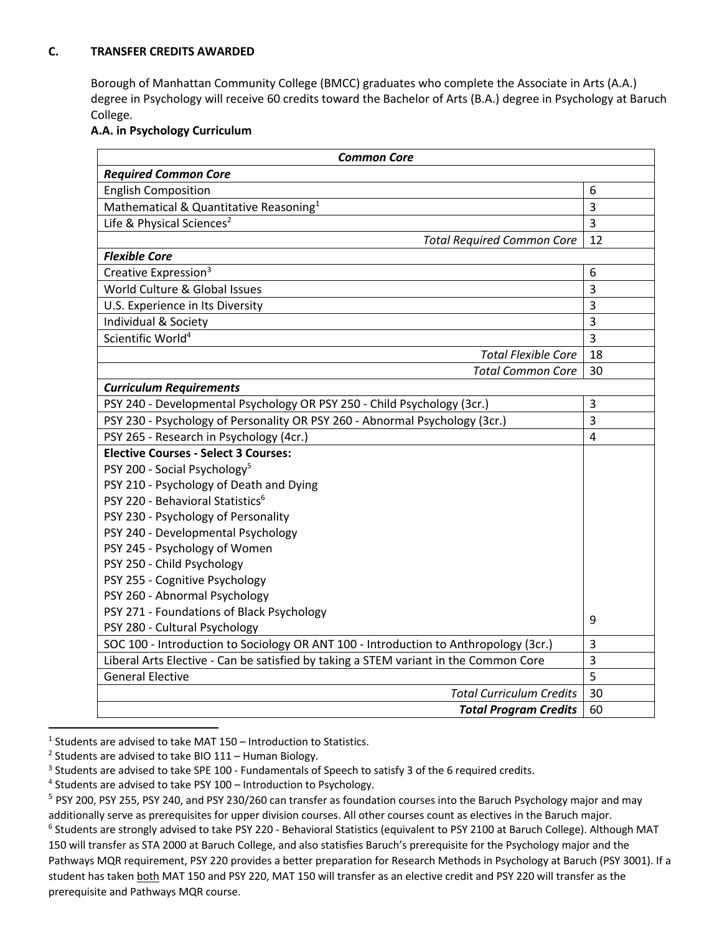# **C. TRANSFER CREDITS AWARDED**

Borough of Manhattan Community College (BMCC) graduates who complete the Associate in Arts (A.A.) degree in Psychology will receive 60 credits toward the Bachelor of Arts (B.A.) degree in Psychology at Baruch College.

### **A.A. in Psychology Curriculum**

| <b>Common Core</b>                                                                   |                |  |
|--------------------------------------------------------------------------------------|----------------|--|
| <b>Required Common Core</b>                                                          |                |  |
| <b>English Composition</b>                                                           |                |  |
| Mathematical & Quantitative Reasoning <sup>1</sup>                                   |                |  |
| Life & Physical Sciences <sup>2</sup>                                                |                |  |
| <b>Total Required Common Core</b>                                                    | 12             |  |
| <b>Flexible Core</b>                                                                 |                |  |
| Creative Expression <sup>3</sup>                                                     |                |  |
| World Culture & Global Issues                                                        | 3              |  |
| U.S. Experience in Its Diversity                                                     | 3              |  |
| Individual & Society                                                                 | 3              |  |
| Scientific World <sup>4</sup>                                                        | $\overline{3}$ |  |
| Total Flexible Core                                                                  | 18             |  |
| <b>Total Common Core</b>                                                             | 30             |  |
| <b>Curriculum Requirements</b>                                                       |                |  |
| PSY 240 - Developmental Psychology OR PSY 250 - Child Psychology (3cr.)              | 3              |  |
| PSY 230 - Psychology of Personality OR PSY 260 - Abnormal Psychology (3cr.)          | $\overline{3}$ |  |
| PSY 265 - Research in Psychology (4cr.)                                              | 4              |  |
| <b>Elective Courses - Select 3 Courses:</b>                                          |                |  |
| PSY 200 - Social Psychology <sup>5</sup>                                             |                |  |
| PSY 210 - Psychology of Death and Dying                                              |                |  |
| PSY 220 - Behavioral Statistics <sup>6</sup>                                         |                |  |
| PSY 230 - Psychology of Personality                                                  |                |  |
| PSY 240 - Developmental Psychology                                                   |                |  |
| PSY 245 - Psychology of Women                                                        |                |  |
| PSY 250 - Child Psychology                                                           |                |  |
| PSY 255 - Cognitive Psychology                                                       |                |  |
| PSY 260 - Abnormal Psychology                                                        |                |  |
| PSY 271 - Foundations of Black Psychology                                            |                |  |
| PSY 280 - Cultural Psychology                                                        |                |  |
| SOC 100 - Introduction to Sociology OR ANT 100 - Introduction to Anthropology (3cr.) |                |  |
| Liberal Arts Elective - Can be satisfied by taking a STEM variant in the Common Core |                |  |
| <b>General Elective</b>                                                              |                |  |
| <b>Total Curriculum Credits</b>                                                      | 30             |  |
| <b>Total Program Credits</b>                                                         | 60             |  |

 $1$  Students are advised to take MAT 150 – Introduction to Statistics.

<sup>&</sup>lt;sup>2</sup> Students are advised to take BIO 111 – Human Biology.

<sup>&</sup>lt;sup>3</sup> Students are advised to take SPE 100 - Fundamentals of Speech to satisfy 3 of the 6 required credits.

<sup>&</sup>lt;sup>4</sup> Students are advised to take PSY 100 – Introduction to Psychology.<br><sup>5</sup> PSY 200, PSY 255, PSY 240, and PSY 230/260 can transfer as foundation courses into the Baruch Psychology major and may additionally serve as prerequisites for upper division courses. All other courses count as electives in the Baruch major. <sup>6</sup> Students are strongly advised to take PSY 220 - Behavioral Statistics (equivalent to PSY 2100 at Baruch College). Although MAT

<sup>150</sup> will transfer as STA 2000 at Baruch College, and also statisfies Baruch's prerequisite for the Psychology major and the Pathways MQR requirement, PSY 220 provides a better preparation for Research Methods in Psychology at Baruch (PSY 3001). If a student has taken both MAT 150 and PSY 220, MAT 150 will transfer as an elective credit and PSY 220 will transfer as the prerequisite and Pathways MQR course.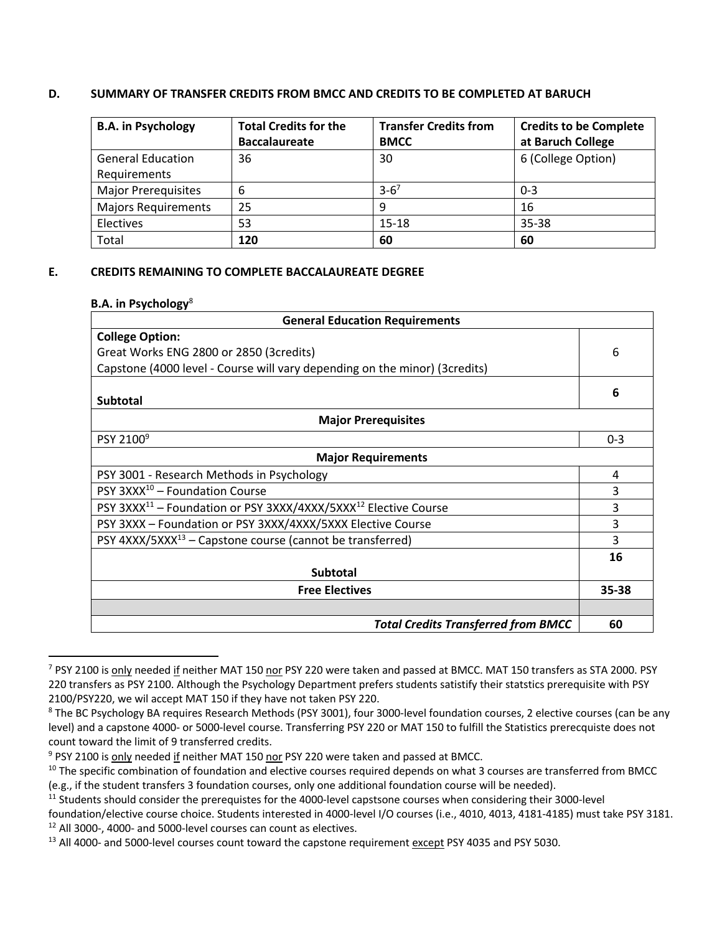## **D. SUMMARY OF TRANSFER CREDITS FROM BMCC AND CREDITS TO BE COMPLETED AT BARUCH**

| <b>B.A. in Psychology</b>  | <b>Total Credits for the</b> | <b>Transfer Credits from</b> | <b>Credits to be Complete</b> |
|----------------------------|------------------------------|------------------------------|-------------------------------|
|                            | <b>Baccalaureate</b>         | <b>BMCC</b>                  | at Baruch College             |
| <b>General Education</b>   | 36                           | 30                           | 6 (College Option)            |
| Requirements               |                              |                              |                               |
| <b>Major Prerequisites</b> | 6                            | $3 - 6^7$                    | $0 - 3$                       |
| <b>Majors Requirements</b> | 25                           | -9                           | 16                            |
| Electives                  | 53                           | $15 - 18$                    | 35-38                         |
| Total                      | 120                          | 60                           | 60                            |

## **E. CREDITS REMAINING TO COMPLETE BACCALAUREATE DEGREE**

#### **B.A. in Psychology**<sup>8</sup>

| <b>General Education Requirements</b>                                                   |         |  |
|-----------------------------------------------------------------------------------------|---------|--|
| <b>College Option:</b>                                                                  |         |  |
| Great Works ENG 2800 or 2850 (3credits)                                                 |         |  |
| Capstone (4000 level - Course will vary depending on the minor) (3credits)              |         |  |
|                                                                                         | 6       |  |
| <b>Subtotal</b>                                                                         |         |  |
| <b>Major Prerequisites</b>                                                              |         |  |
| PSY 2100 <sup>9</sup>                                                                   | $0 - 3$ |  |
| <b>Major Requirements</b>                                                               |         |  |
| PSY 3001 - Research Methods in Psychology                                               |         |  |
| PSY $3XXX^{10}$ – Foundation Course                                                     |         |  |
| PSY 3XXX <sup>11</sup> - Foundation or PSY 3XXX/4XXX/5XXX <sup>12</sup> Elective Course |         |  |
| PSY 3XXX - Foundation or PSY 3XXX/4XXX/5XXX Elective Course                             |         |  |
| PSY $4XXX/5XXX^{13}$ – Capstone course (cannot be transferred)                          |         |  |
|                                                                                         | 16      |  |
| <b>Subtotal</b>                                                                         |         |  |
| <b>Free Electives</b>                                                                   |         |  |
|                                                                                         |         |  |
| <b>Total Credits Transferred from BMCC</b>                                              | 60      |  |

<sup>&</sup>lt;sup>7</sup> PSY 2100 is only needed if neither MAT 150 nor PSY 220 were taken and passed at BMCC. MAT 150 transfers as STA 2000. PSY 220 transfers as PSY 2100. Although the Psychology Department prefers students satistify their statstics prerequisite with PSY 2100/PSY220, we wil accept MAT 150 if they have not taken PSY 220.

<sup>&</sup>lt;sup>8</sup> The BC Psychology BA requires Research Methods (PSY 3001), four 3000-level foundation courses, 2 elective courses (can be any level) and a capstone 4000- or 5000-level course. Transferring PSY 220 or MAT 150 to fulfill the Statistics prerecquiste does not count toward the limit of 9 transferred credits.<br><sup>9</sup> PSY 2100 is only needed if neither MAT 150 nor PSY 220 were taken and passed at BMCC.

 $10$  The specific combination of foundation and elective courses required depends on what 3 courses are transferred from BMCC (e.g., if the student transfers 3 foundation courses, only one additional foundation course will be needed).

 $11$  Students should consider the prerequistes for the 4000-level capstsone courses when considering their 3000-level

foundation/elective course choice. Students interested in 4000-level I/O courses (i.e., 4010, 4013, 4181-4185) must take PSY 3181. <sup>12</sup> All 3000-, 4000- and 5000-level courses can count as electives.

<sup>&</sup>lt;sup>13</sup> All 4000- and 5000-level courses count toward the capstone requirement except PSY 4035 and PSY 5030.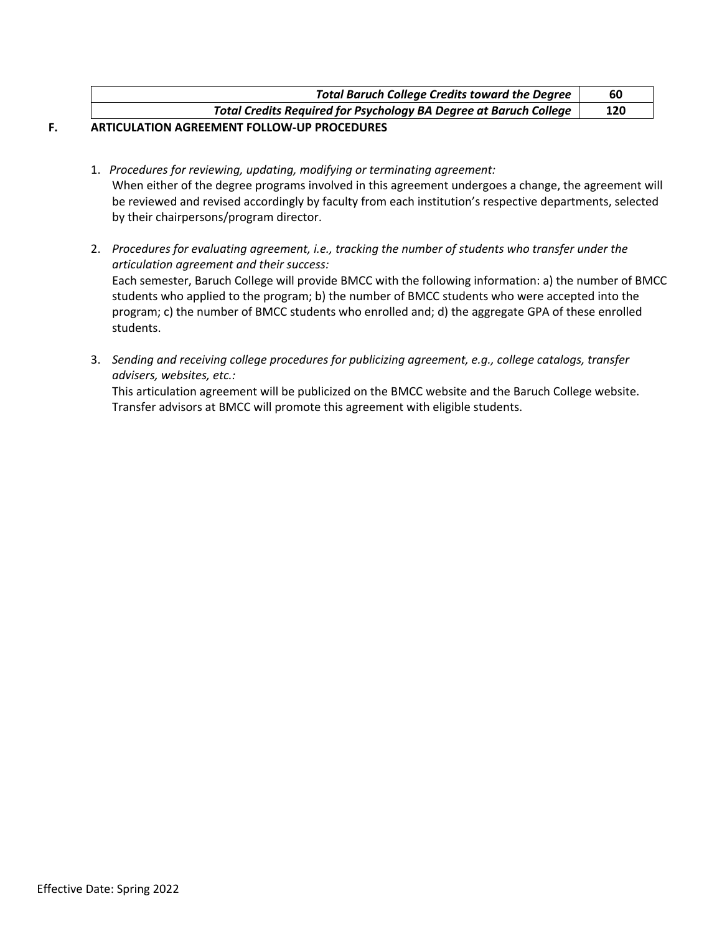| <b>Total Baruch College Credits toward the Degree</b>             |     |
|-------------------------------------------------------------------|-----|
| Total Credits Required for Psychology BA Degree at Baruch College | 120 |
|                                                                   |     |

#### **F. ARTICULATION AGREEMENT FOLLOW-UP PROCEDURES**

- 1. *Procedures for reviewing, updating, modifying or terminating agreement:* When either of the degree programs involved in this agreement undergoes a change, the agreement will be reviewed and revised accordingly by faculty from each institution's respective departments, selected by their chairpersons/program director.
- 2. *Procedures for evaluating agreement, i.e., tracking the number of students who transfer under the articulation agreement and their success:* Each semester, Baruch College will provide BMCC with the following information: a) the number of BMCC students who applied to the program; b) the number of BMCC students who were accepted into the program; c) the number of BMCC students who enrolled and; d) the aggregate GPA of these enrolled students.
- 3. *Sending and receiving college procedures for publicizing agreement, e.g., college catalogs, transfer advisers, websites, etc.:*

This articulation agreement will be publicized on the BMCC website and the Baruch College website. Transfer advisors at BMCC will promote this agreement with eligible students.